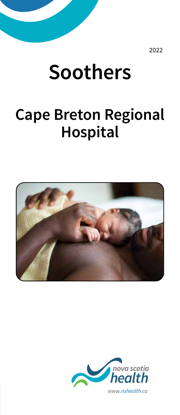2022

# **Soothers**

## **Cape Breton Regional Hospital**



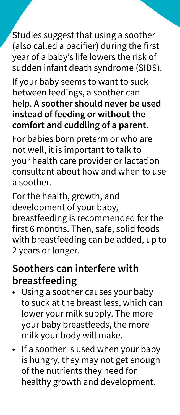Studies suggest that using a soother (also called a pacifier) during the first year of a baby's life lowers the risk of sudden infant death syndrome (SIDS).

If your baby seems to want to suck between feedings, a soother can help. **A soother should never be used instead of feeding or without the comfort and cuddling of a parent.**

For babies born preterm or who are not well, it is important to talk to your health care provider or lactation consultant about how and when to use a soother.

For the health, growth, and development of your baby, breastfeeding is recommended for the first 6 months. Then, safe, solid foods with breastfeeding can be added, up to 2 years or longer.

#### **Soothers can interfere with breastfeeding**

- Using a soother causes your baby to suck at the breast less, which can lower your milk supply. The more your baby breastfeeds, the more milk your body will make.
- If a soother is used when your baby is hungry, they may not get enough of the nutrients they need for healthy growth and development.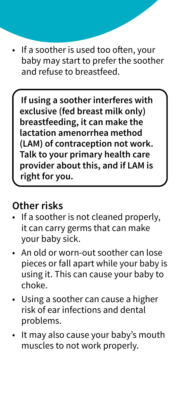If a soother is used too often, your baby may start to prefer the soother and refuse to breastfeed.

**If using a soother interferes with exclusive (fed breast milk only) breastfeeding, it can make the lactation amenorrhea method (LAM) of contraception not work. Talk to your primary health care provider about this, and if LAM is right for you.** 

#### **Other risks**

- If a soother is not cleaned properly, it can carry germs that can make your baby sick.
- An old or worn-out soother can lose pieces or fall apart while your baby is using it. This can cause your baby to choke.
- Using a soother can cause a higher risk of ear infections and dental problems.
- It may also cause your baby's mouth muscles to not work properly.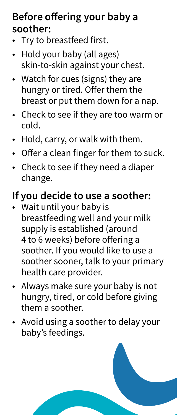#### **Before offering your baby a soother:**

- Try to breastfeed first.
- Hold your baby (all ages) skin-to-skin against your chest.
- Watch for cues (signs) they are hungry or tired. Offer them the breast or put them down for a nap.
- Check to see if they are too warm or cold.
- Hold, carry, or walk with them.
- Offer a clean finger for them to suck.
- Check to see if they need a diaper change.

### **If you decide to use a soother:**

- Wait until your baby is breastfeeding well and your milk supply is established (around 4 to 6 weeks) before offering a soother. If you would like to use a soother sooner, talk to your primary health care provider.
- Always make sure your baby is not hungry, tired, or cold before giving them a soother.
- Avoid using a soother to delay your baby's feedings.

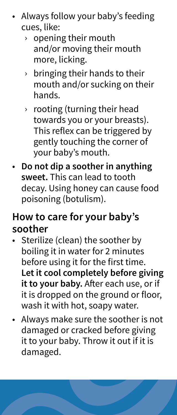- Always follow your baby's feeding cues, like:
	- › opening their mouth and/or moving their mouth more, licking.
	- $\rightarrow$  bringing their hands to their mouth and/or sucking on their hands.
	- › rooting (turning their head towards you or your breasts). This reflex can be triggered by gently touching the corner of your baby's mouth.
- **Do not dip a soother in anything sweet.** This can lead to tooth decay. Using honey can cause food poisoning (botulism).

#### **How to care for your baby's soother**

- Sterilize (clean) the soother by boiling it in water for 2 minutes before using it for the first time. **Let it cool completely before giving**  it to your baby. After each use, or if it is dropped on the ground or floor, wash it with hot, soapy water.
- Always make sure the soother is not damaged or cracked before giving it to your baby. Throw it out if it is damaged.